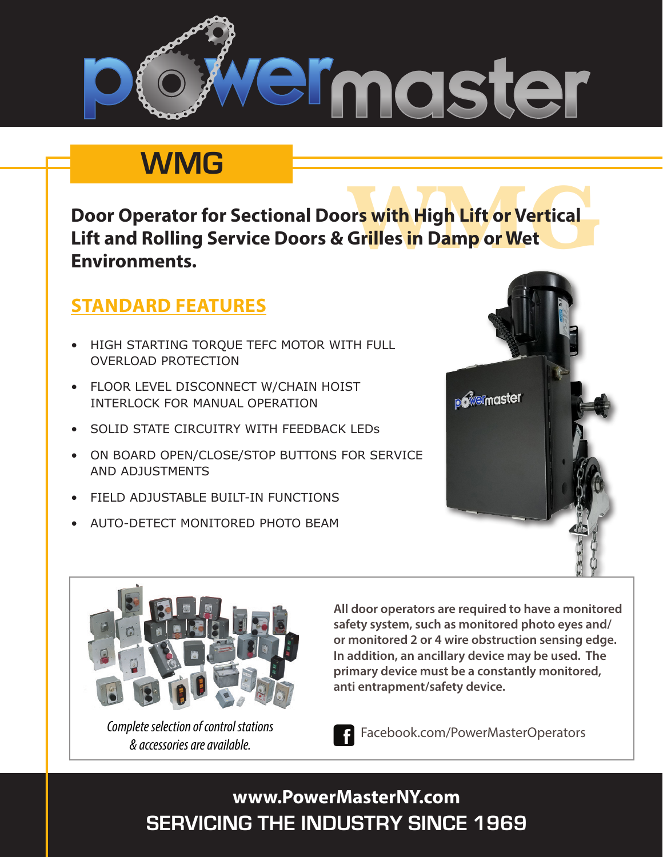

## **WMG**

**The Source of Server 1991**<br>Gr<mark>il</mark>les in Damp or Wet **Door Operator for Sectional Doors with High Lift or Vertical Lift and Rolling Service Doors & Grilles in Damp or Wet Environments.**

## **STANDARD FEATURES**

- HIGH STARTING TORQUE TEFC MOTOR WITH FULL OVERLOAD PROTECTION
- FLOOR LEVEL DISCONNECT W/CHAIN HOIST INTERLOCK FOR MANUAL OPERATION
- SOLID STATE CIRCUITRY WITH FEEDBACK LEDS
- ON BOARD OPEN/CLOSE/STOP BUTTONS FOR SERVICE AND ADJUSTMENTS
- **FIELD ADJUSTABLE BUILT-IN FUNCTIONS**
- AUTO-DETECT MONITORED PHOTO BEAM





*& accessories are available.*

**All door operators are required to have a monitored safety system, such as monitored photo eyes and/ or monitored 2 or 4 wire obstruction sensing edge. In addition, an ancillary device may be used. The primary device must be a constantly monitored, anti entrapment/safety device.**

Facebook.com/PowerMasterOperators *Complete selection of control stations* 

## **SERVICING THE INDUSTRY SINCE 1969 www.PowerMasterNY.com**